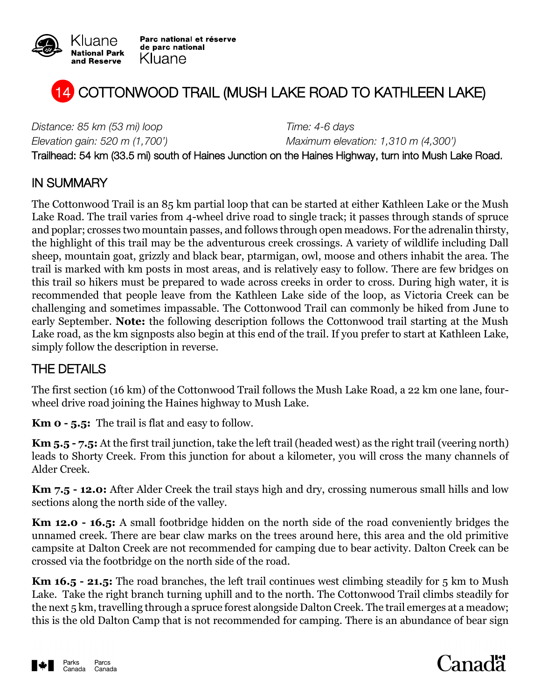

Parc national et réserve de parc national Kluane



*Distance: 85 km (53 mi) loop Time: 4-6 days*

*Elevation gain: 520 m (1,700') Maximum elevation: 1,310 m (4,300')*

Trailhead: 54 km (33.5 mi) south of Haines Junction on the Haines Highway, turn into Mush Lake Road.

### IN SUMMARY

The Cottonwood Trail is an 85 km partial loop that can be started at either Kathleen Lake or the Mush Lake Road. The trail varies from 4-wheel drive road to single track; it passes through stands of spruce and poplar; crosses two mountain passes, and follows through open meadows. For the adrenalin thirsty, the highlight of this trail may be the adventurous creek crossings. A variety of wildlife including Dall sheep, mountain goat, grizzly and black bear, ptarmigan, owl, moose and others inhabit the area. The trail is marked with km posts in most areas, and is relatively easy to follow. There are few bridges on this trail so hikers must be prepared to wade across creeks in order to cross. During high water, it is recommended that people leave from the Kathleen Lake side of the loop, as Victoria Creek can be challenging and sometimes impassable. The Cottonwood Trail can commonly be hiked from June to early September. **Note:** the following description follows the Cottonwood trail starting at the Mush Lake road, as the km signposts also begin at this end of the trail. If you prefer to start at Kathleen Lake, simply follow the description in reverse.

### THE DETAILS

The first section (16 km) of the Cottonwood Trail follows the Mush Lake Road, a 22 km one lane, fourwheel drive road joining the Haines highway to Mush Lake.

**Km 0 - 5.5:** The trail is flat and easy to follow.

**Km 5.5 - 7.5:** At the first trail junction, take the left trail (headed west) as the right trail (veering north) leads to Shorty Creek. From this junction for about a kilometer, you will cross the many channels of Alder Creek.

**Km 7.5 - 12.0:** After Alder Creek the trail stays high and dry, crossing numerous small hills and low sections along the north side of the valley.

**Km 12.0 - 16.5:** A small footbridge hidden on the north side of the road conveniently bridges the unnamed creek. There are bear claw marks on the trees around here, this area and the old primitive campsite at Dalton Creek are not recommended for camping due to bear activity. Dalton Creek can be crossed via the footbridge on the north side of the road.

**Km 16.5 - 21.5:** The road branches, the left trail continues west climbing steadily for 5 km to Mush Lake. Take the right branch turning uphill and to the north. The Cottonwood Trail climbs steadily for the next 5 km, travelling through a spruce forest alongside Dalton Creek. The trail emerges at a meadow; this is the old Dalton Camp that is not recommended for camping. There is an abundance of bear sign



# Canadä<sup>.</sup>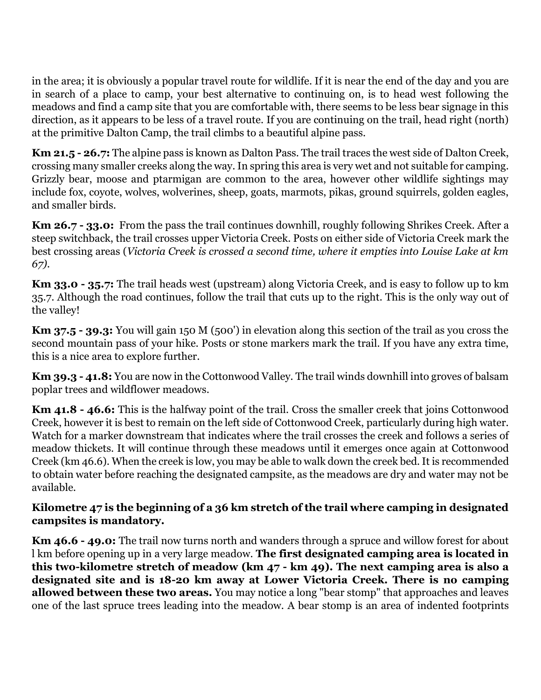in the area; it is obviously a popular travel route for wildlife. If it is near the end of the day and you are in search of a place to camp, your best alternative to continuing on, is to head west following the meadows and find a camp site that you are comfortable with, there seems to be less bear signage in this direction, as it appears to be less of a travel route. If you are continuing on the trail, head right (north) at the primitive Dalton Camp, the trail climbs to a beautiful alpine pass.

**Km 21.5 - 26.7:** The alpine pass is known as Dalton Pass. The trail traces the west side of Dalton Creek, crossing many smaller creeks along the way. In spring this area is very wet and not suitable for camping. Grizzly bear, moose and ptarmigan are common to the area, however other wildlife sightings may include fox, coyote, wolves, wolverines, sheep, goats, marmots, pikas, ground squirrels, golden eagles, and smaller birds.

**Km 26.7 - 33.0:** From the pass the trail continues downhill, roughly following Shrikes Creek. After a steep switchback, the trail crosses upper Victoria Creek. Posts on either side of Victoria Creek mark the best crossing areas (*Victoria Creek is crossed a second time, where it empties into Louise Lake at km 67).*

**Km 33.0 - 35.7:** The trail heads west (upstream) along Victoria Creek, and is easy to follow up to km 35.7. Although the road continues, follow the trail that cuts up to the right. This is the only way out of the valley!

**Km 37.5 - 39.3:** You will gain 150 M (500') in elevation along this section of the trail as you cross the second mountain pass of your hike. Posts or stone markers mark the trail. If you have any extra time, this is a nice area to explore further.

**Km 39.3 - 41.8:** You are now in the Cottonwood Valley. The trail winds downhill into groves of balsam poplar trees and wildflower meadows.

**Km 41.8 - 46.6:** This is the halfway point of the trail. Cross the smaller creek that joins Cottonwood Creek, however it is best to remain on the left side of Cottonwood Creek, particularly during high water. Watch for a marker downstream that indicates where the trail crosses the creek and follows a series of meadow thickets. It will continue through these meadows until it emerges once again at Cottonwood Creek (km 46.6). When the creek is low, you may be able to walk down the creek bed. It is recommended to obtain water before reaching the designated campsite, as the meadows are dry and water may not be available.

#### **Kilometre 47 is the beginning of a 36 km stretch of the trail where camping in designated campsites is mandatory.**

**Km 46.6 - 49.0:** The trail now turns north and wanders through a spruce and willow forest for about l km before opening up in a very large meadow. **The first designated camping area is located in this two-kilometre stretch of meadow (km 47 - km 49). The next camping area is also a designated site and is 18-20 km away at Lower Victoria Creek***.* **There is no camping allowed between these two areas.** You may notice a long "bear stomp" that approaches and leaves one of the last spruce trees leading into the meadow. A bear stomp is an area of indented footprints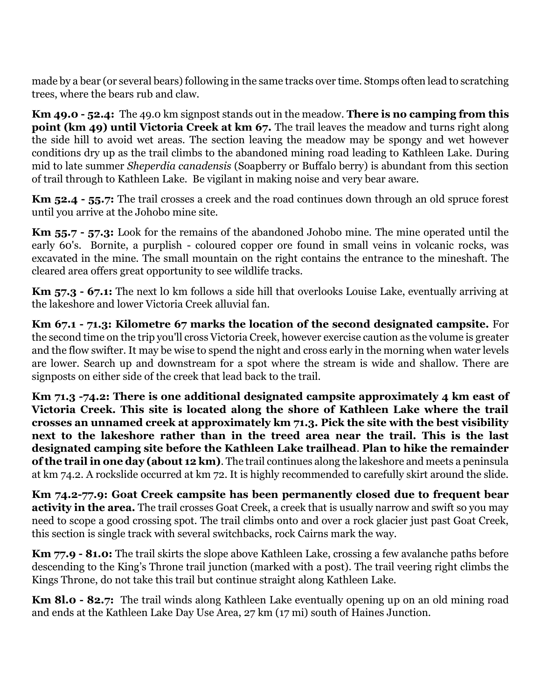made by a bear (or several bears) following in the same tracks over time. Stomps often lead to scratching trees, where the bears rub and claw.

**Km 49.0 - 52.4:** The 49.0 km signpost stands out in the meadow. **There is no camping from this point (km 49) until Victoria Creek at km 67.** The trail leaves the meadow and turns right along the side hill to avoid wet areas. The section leaving the meadow may be spongy and wet however conditions dry up as the trail climbs to the abandoned mining road leading to Kathleen Lake. During mid to late summer *Sheperdia canadensis* (Soapberry or Buffalo berry) is abundant from this section of trail through to Kathleen Lake. Be vigilant in making noise and very bear aware.

**Km 52.4 - 55.7:** The trail crosses a creek and the road continues down through an old spruce forest until you arrive at the Johobo mine site.

**Km 55.7 - 57.3:** Look for the remains of the abandoned Johobo mine. The mine operated until the early 60's. Bornite, a purplish - coloured copper ore found in small veins in volcanic rocks, was excavated in the mine. The small mountain on the right contains the entrance to the mineshaft. The cleared area offers great opportunity to see wildlife tracks.

**Km 57.3 - 67.1:** The next l0 km follows a side hill that overlooks Louise Lake, eventually arriving at the lakeshore and lower Victoria Creek alluvial fan.

**Km 67.1 - 71.3: Kilometre 67 marks the location of the second designated campsite.** For the second time on the trip you'll cross Victoria Creek, however exercise caution as the volume is greater and the flow swifter. It may be wise to spend the night and cross early in the morning when water levels are lower. Search up and downstream for a spot where the stream is wide and shallow. There are signposts on either side of the creek that lead back to the trail.

**Km 71.3 -74.2: There is one additional designated campsite approximately 4 km east of Victoria Creek. This site is located along the shore of Kathleen Lake where the trail crosses an unnamed creek at approximately km 71.3. Pick the site with the best visibility next to the lakeshore rather than in the treed area near the trail. This is the last designated camping site before the Kathleen Lake trailhead**. **Plan to hike the remainder of the trail in one day (about 12 km)**. The trail continues along the lakeshore and meets a peninsula at km 74.2. A rockslide occurred at km 72. It is highly recommended to carefully skirt around the slide.

**Km 74.2-77.9: Goat Creek campsite has been permanently closed due to frequent bear activity in the area.** The trail crosses Goat Creek, a creek that is usually narrow and swift so you may need to scope a good crossing spot. The trail climbs onto and over a rock glacier just past Goat Creek, this section is single track with several switchbacks, rock Cairns mark the way.

**Km 77.9 - 81.0:** The trail skirts the slope above Kathleen Lake, crossing a few avalanche paths before descending to the King's Throne trail junction (marked with a post). The trail veering right climbs the Kings Throne, do not take this trail but continue straight along Kathleen Lake.

**Km 8l.0 - 82.7:** The trail winds along Kathleen Lake eventually opening up on an old mining road and ends at the Kathleen Lake Day Use Area, 27 km (17 mi) south of Haines Junction.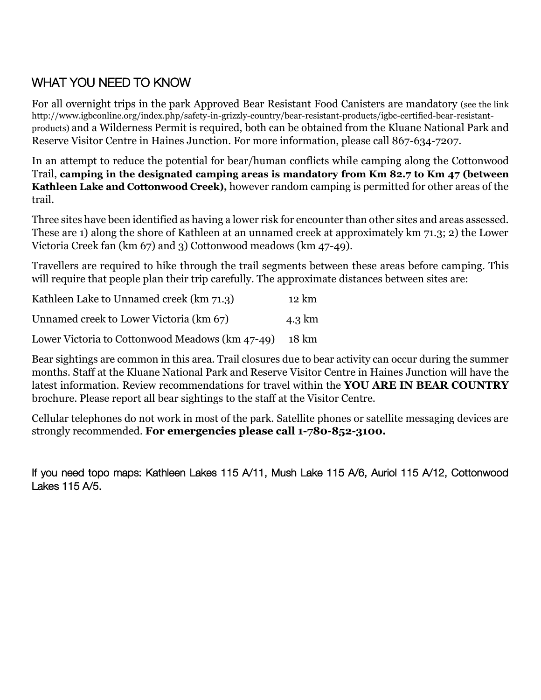## WHAT YOU NEED TO KNOW

For all overnight trips in the park Approved Bear Resistant Food Canisters are mandatory (see the link http://www.igbconline.org/index.php/safety-in-grizzly-country/bear-resistant-products/igbc-certified-bear-resistantproducts) and a Wilderness Permit is required, both can be obtained from the Kluane National Park and Reserve Visitor Centre in Haines Junction. For more information, please call 867-634-7207.

In an attempt to reduce the potential for bear/human conflicts while camping along the Cottonwood Trail, **camping in the designated camping areas is mandatory from Km 82.7 to Km 47 (between Kathleen Lake and Cottonwood Creek),** however random camping is permitted for other areas of the trail.

Three sites have been identified as having a lower risk for encounter than other sites and areas assessed. These are 1) along the shore of Kathleen at an unnamed creek at approximately km 71.3; 2) the Lower Victoria Creek fan (km 67) and 3) Cottonwood meadows (km 47-49).

Travellers are required to hike through the trail segments between these areas before camping. This will require that people plan their trip carefully. The approximate distances between sites are:

| Kathleen Lake to Unnamed creek (km 71.3)        | 12 km  |
|-------------------------------------------------|--------|
| Unnamed creek to Lower Victoria (km 67)         | 4.3 km |
| Lower Victoria to Cottonwood Meadows (km 47-49) | 18 km  |

Bear sightings are common in this area. Trail closures due to bear activity can occur during the summer months. Staff at the Kluane National Park and Reserve Visitor Centre in Haines Junction will have the latest information. Review recommendations for travel within the **YOU ARE IN BEAR COUNTRY** brochure. Please report all bear sightings to the staff at the Visitor Centre.

Cellular telephones do not work in most of the park. Satellite phones or satellite messaging devices are strongly recommended. **For emergencies please call 1-780-852-3100.**

If you need topo maps: Kathleen Lakes 115 A/11, Mush Lake 115 A/6, Auriol 115 A/12, Cottonwood Lakes 115 A/5.